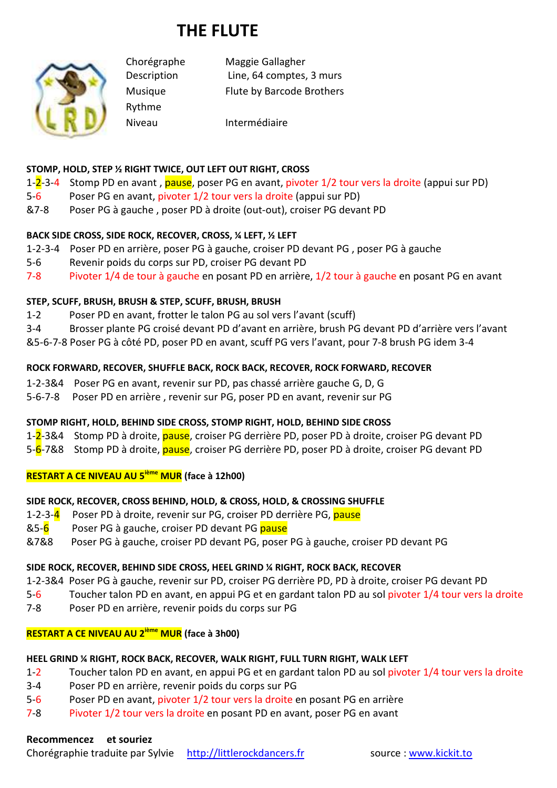# **THE FLUTE**



Rythme

Chorégraphe Maggie Gallagher Description Line, 64 comptes, 3 murs Musique Flute by Barcode Brothers

Niveau Intermédiaire

## **STOMP, HOLD, STEP ½ RIGHT TWICE, OUT LEFT OUT RIGHT, CROSS**

- 1-2-3-4 Stomp PD en avant, pause, poser PG en avant, pivoter 1/2 tour vers la droite (appui sur PD)
- 5-6 Poser PG en avant, pivoter 1/2 tour vers la droite (appui sur PD)
- &7-8 Poser PG à gauche , poser PD à droite (out-out), croiser PG devant PD

## **BACK SIDE CROSS, SIDE ROCK, RECOVER, CROSS, ¼ LEFT, ½ LEFT**

- 1-2-3-4 Poser PD en arrière, poser PG à gauche, croiser PD devant PG , poser PG à gauche
- 5-6 Revenir poids du corps sur PD, croiser PG devant PD
- 7-8 Pivoter 1/4 de tour à gauche en posant PD en arrière, 1/2 tour à gauche en posant PG en avant

## **STEP, SCUFF, BRUSH, BRUSH & STEP, SCUFF, BRUSH, BRUSH**

- 1-2 Poser PD en avant, frotter le talon PG au sol vers l'avant (scuff)
- 3-4 Brosser plante PG croisé devant PD d'avant en arrière, brush PG devant PD d'arrière vers l'avant
- &5-6-7-8 Poser PG à côté PD, poser PD en avant, scuff PG vers l'avant, pour 7-8 brush PG idem 3-4

## **ROCK FORWARD, RECOVER, SHUFFLE BACK, ROCK BACK, RECOVER, ROCK FORWARD, RECOVER**

- 1-2-3&4 Poser PG en avant, revenir sur PD, pas chassé arrière gauche G, D, G
- 5-6-7-8 Poser PD en arrière , revenir sur PG, poser PD en avant, revenir sur PG

## **STOMP RIGHT, HOLD, BEHIND SIDE CROSS, STOMP RIGHT, HOLD, BEHIND SIDE CROSS**

1-2-3&4 Stomp PD à droite, pause, croiser PG derrière PD, poser PD à droite, croiser PG devant PD

5-6-7&8 Stomp PD à droite, *pause*, croiser PG derrière PD, poser PD à droite, croiser PG devant PD

#### **RESTART A CE NIVEAU AU 5ième MUR (face à 12h00)**

## **SIDE ROCK, RECOVER, CROSS BEHIND, HOLD, & CROSS, HOLD, & CROSSING SHUFFLE**

- 1-2-3-4 Poser PD à droite, revenir sur PG, croiser PD derrière PG, pause
- &5-6 Poser PG à gauche, croiser PD devant PG pause
- &7&8 Poser PG à gauche, croiser PD devant PG, poser PG à gauche, croiser PD devant PG

#### **SIDE ROCK, RECOVER, BEHIND SIDE CROSS, HEEL GRIND ¼ RIGHT, ROCK BACK, RECOVER**

- 1-2-3&4 Poser PG à gauche, revenir sur PD, croiser PG derrière PD, PD à droite, croiser PG devant PD
- 5-6 Toucher talon PD en avant, en appui PG et en gardant talon PD au sol pivoter 1/4 tour vers la droite
- 7-8 Poser PD en arrière, revenir poids du corps sur PG

## **RESTART A CE NIVEAU AU 2ième MUR (face à 3h00)**

## **HEEL GRIND ¼ RIGHT, ROCK BACK, RECOVER, WALK RIGHT, FULL TURN RIGHT, WALK LEFT**

- 1-2 Toucher talon PD en avant, en appui PG et en gardant talon PD au sol pivoter 1/4 tour vers la droite
- 3-4 Poser PD en arrière, revenir poids du corps sur PG
- 5-6 Poser PD en avant, pivoter 1/2 tour vers la droite en posant PG en arrière
- 7-8 Pivoter 1/2 tour vers la droite en posant PD en avant, poser PG en avant

## **Recommencez et souriez**

Chorégraphie traduite par Sylvie http://littlerockdancers.fr source : www.kickit.to